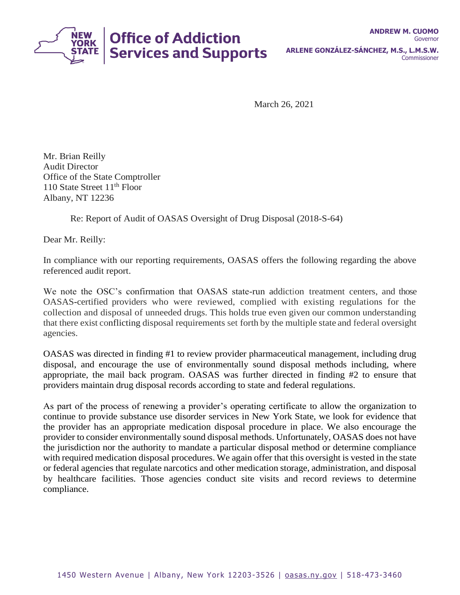

March 26, 2021

Mr. Brian Reilly Audit Director Office of the State Comptroller 110 State Street  $11<sup>th</sup>$  Floor Albany, NT 12236

Re: Report of Audit of OASAS Oversight of Drug Disposal (2018-S-64)

Dear Mr. Reilly:

In compliance with our reporting requirements, OASAS offers the following regarding the above referenced audit report.

We note the OSC's confirmation that OASAS state-run addiction treatment centers, and those OASAS-certified providers who were reviewed, complied with existing regulations for the collection and disposal of unneeded drugs. This holds true even given our common understanding that there exist conflicting disposal requirements set forth by the multiple state and federal oversight agencies.

OASAS was directed in finding #1 to review provider pharmaceutical management, including drug disposal, and encourage the use of environmentally sound disposal methods including, where appropriate, the mail back program. OASAS was further directed in finding #2 to ensure that providers maintain drug disposal records according to state and federal regulations.

As part of the process of renewing a provider's operating certificate to allow the organization to continue to provide substance use disorder services in New York State, we look for evidence that the provider has an appropriate medication disposal procedure in place. We also encourage the provider to consider environmentally sound disposal methods. Unfortunately, OASAS does not have the jurisdiction nor the authority to mandate a particular disposal method or determine compliance with required medication disposal procedures. We again offer that this oversight is vested in the state or federal agencies that regulate narcotics and other medication storage, administration, and disposal by healthcare facilities. Those agencies conduct site visits and record reviews to determine compliance.